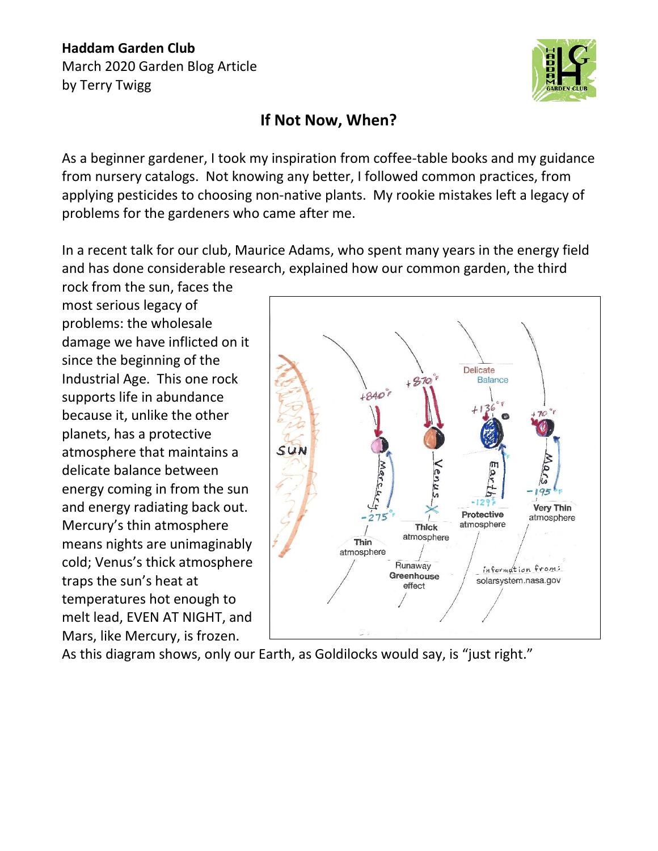## **Haddam Garden Club** March 2020 Garden Blog Article by Terry Twigg



## **If Not Now, When?**

As a beginner gardener, I took my inspiration from coffee-table books and my guidance from nursery catalogs. Not knowing any better, I followed common practices, from applying pesticides to choosing non-native plants. My rookie mistakes left a legacy of problems for the gardeners who came after me.

In a recent talk for our club, Maurice Adams, who spent many years in the energy field and has done considerable research, explained how our common garden, the third

rock from the sun, faces the most serious legacy of problems: the wholesale damage we have inflicted on it since the beginning of the Industrial Age. This one rock supports life in abundance because it, unlike the other planets, has a protective atmosphere that maintains a delicate balance between energy coming in from the sun and energy radiating back out. Mercury's thin atmosphere means nights are unimaginably cold; Venus's thick atmosphere traps the sun's heat at temperatures hot enough to melt lead, EVEN AT NIGHT, and Mars, like Mercury, is frozen.



As this diagram shows, only our Earth, as Goldilocks would say, is "just right."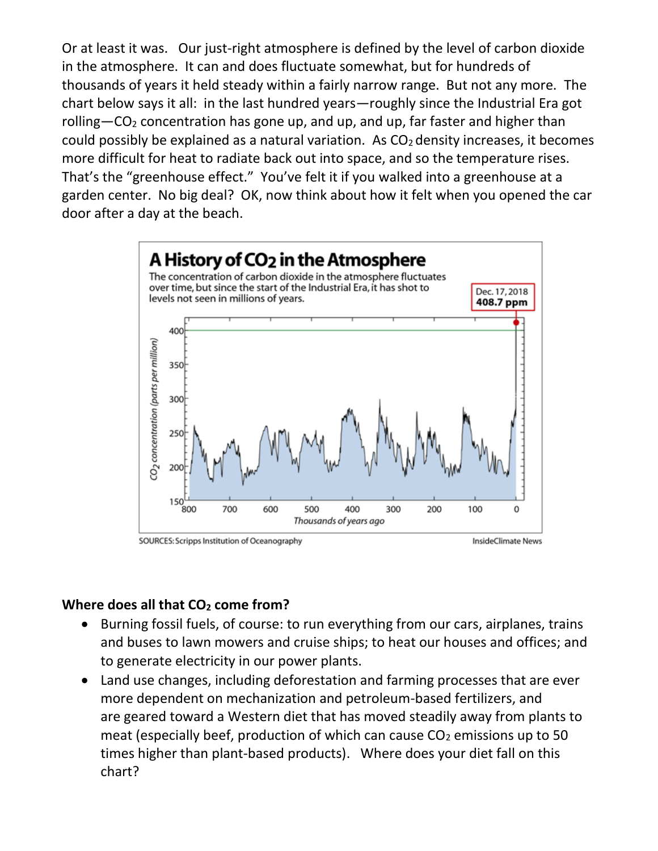Or at least it was. Our just-right atmosphere is defined by the level of carbon dioxide in the atmosphere. It can and does fluctuate somewhat, but for hundreds of thousands of years it held steady within a fairly narrow range. But not any more. The chart below says it all: in the last hundred years—roughly since the Industrial Era got rolling—CO<sub>2</sub> concentration has gone up, and up, and up, far faster and higher than could possibly be explained as a natural variation. As  $CO<sub>2</sub>$  density increases, it becomes more difficult for heat to radiate back out into space, and so the temperature rises. That's the "greenhouse effect." You've felt it if you walked into a greenhouse at a garden center. No big deal? OK, now think about how it felt when you opened the car door after a day at the beach.



SOURCES: Scripps Institution of Oceanography

InsideClimate News

## **Where does all that CO<sup>2</sup> come from?**

- Burning fossil fuels, of course: to run everything from our cars, airplanes, trains and buses to lawn mowers and cruise ships; to heat our houses and offices; and to generate electricity in our power plants.
- Land use changes, including deforestation and farming processes that are ever more dependent on mechanization and petroleum-based fertilizers, and are geared toward a Western diet that has moved steadily away from plants to meat (especially beef, production of which can cause  $CO<sub>2</sub>$  emissions up to 50 times higher than plant-based products). Where does your diet fall on this chart?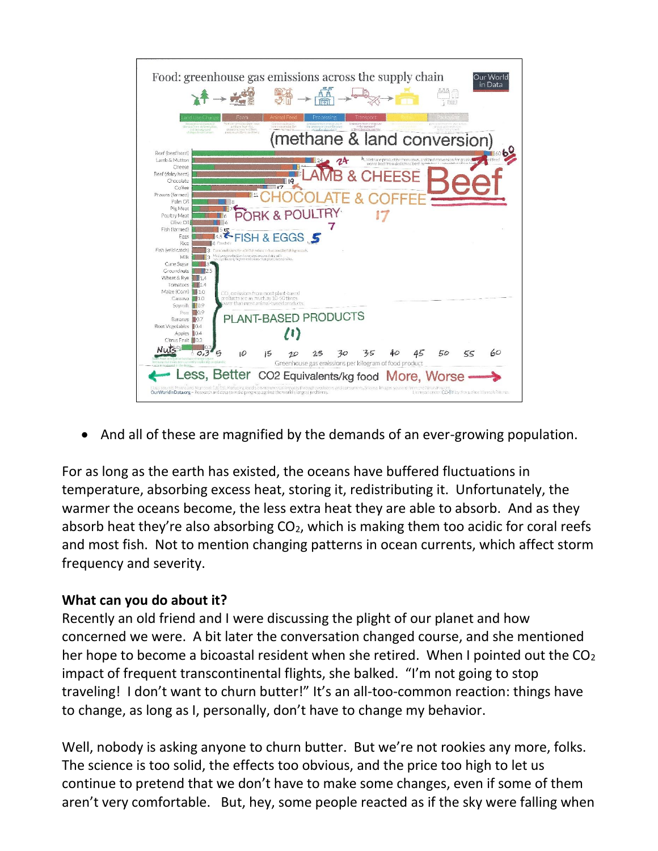

• And all of these are magnified by the demands of an ever-growing population.

For as long as the earth has existed, the oceans have buffered fluctuations in temperature, absorbing excess heat, storing it, redistributing it. Unfortunately, the warmer the oceans become, the less extra heat they are able to absorb. And as they absorb heat they're also absorbing  $CO<sub>2</sub>$ , which is making them too acidic for coral reefs and most fish. Not to mention changing patterns in ocean currents, which affect storm frequency and severity.

## **What can you do about it?**

Recently an old friend and I were discussing the plight of our planet and how concerned we were. A bit later the conversation changed course, and she mentioned her hope to become a bicoastal resident when she retired. When I pointed out the  $CO<sub>2</sub>$ impact of frequent transcontinental flights, she balked. "I'm not going to stop traveling! I don't want to churn butter!" It's an all-too-common reaction: things have to change, as long as I, personally, don't have to change my behavior.

Well, nobody is asking anyone to churn butter. But we're not rookies any more, folks. The science is too solid, the effects too obvious, and the price too high to let us continue to pretend that we don't have to make some changes, even if some of them aren't very comfortable. But, hey, some people reacted as if the sky were falling when